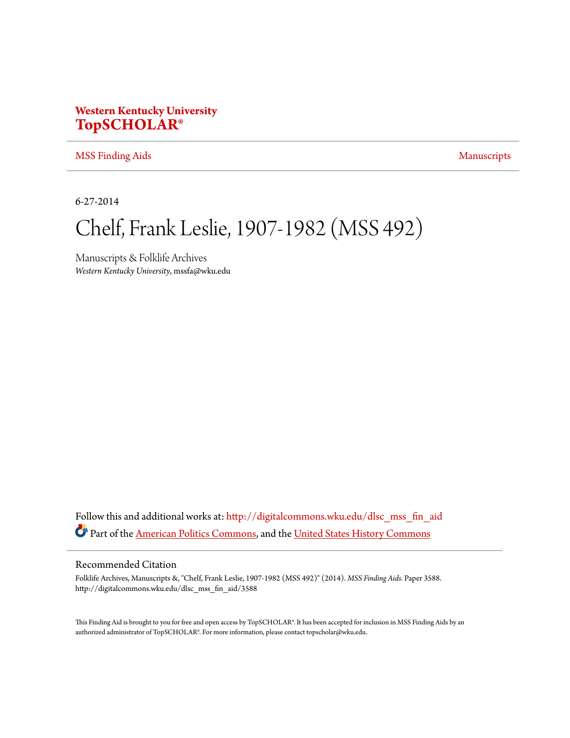# **Western Kentucky University [TopSCHOLAR®](http://digitalcommons.wku.edu?utm_source=digitalcommons.wku.edu%2Fdlsc_mss_fin_aid%2F3588&utm_medium=PDF&utm_campaign=PDFCoverPages)**

#### [MSS Finding Aids](http://digitalcommons.wku.edu/dlsc_mss_fin_aid?utm_source=digitalcommons.wku.edu%2Fdlsc_mss_fin_aid%2F3588&utm_medium=PDF&utm_campaign=PDFCoverPages) [Manuscripts](http://digitalcommons.wku.edu/dlsc_mss?utm_source=digitalcommons.wku.edu%2Fdlsc_mss_fin_aid%2F3588&utm_medium=PDF&utm_campaign=PDFCoverPages) Manuscripts

6-27-2014

# Chelf, Frank Leslie, 1907-1982 (MSS 492)

Manuscripts & Folklife Archives *Western Kentucky University*, mssfa@wku.edu

Follow this and additional works at: [http://digitalcommons.wku.edu/dlsc\\_mss\\_fin\\_aid](http://digitalcommons.wku.edu/dlsc_mss_fin_aid?utm_source=digitalcommons.wku.edu%2Fdlsc_mss_fin_aid%2F3588&utm_medium=PDF&utm_campaign=PDFCoverPages) Part of the [American Politics Commons](http://network.bepress.com/hgg/discipline/387?utm_source=digitalcommons.wku.edu%2Fdlsc_mss_fin_aid%2F3588&utm_medium=PDF&utm_campaign=PDFCoverPages), and the [United States History Commons](http://network.bepress.com/hgg/discipline/495?utm_source=digitalcommons.wku.edu%2Fdlsc_mss_fin_aid%2F3588&utm_medium=PDF&utm_campaign=PDFCoverPages)

#### Recommended Citation

Folklife Archives, Manuscripts &, "Chelf, Frank Leslie, 1907-1982 (MSS 492)" (2014). *MSS Finding Aids.* Paper 3588. http://digitalcommons.wku.edu/dlsc\_mss\_fin\_aid/3588

This Finding Aid is brought to you for free and open access by TopSCHOLAR®. It has been accepted for inclusion in MSS Finding Aids by an authorized administrator of TopSCHOLAR®. For more information, please contact topscholar@wku.edu.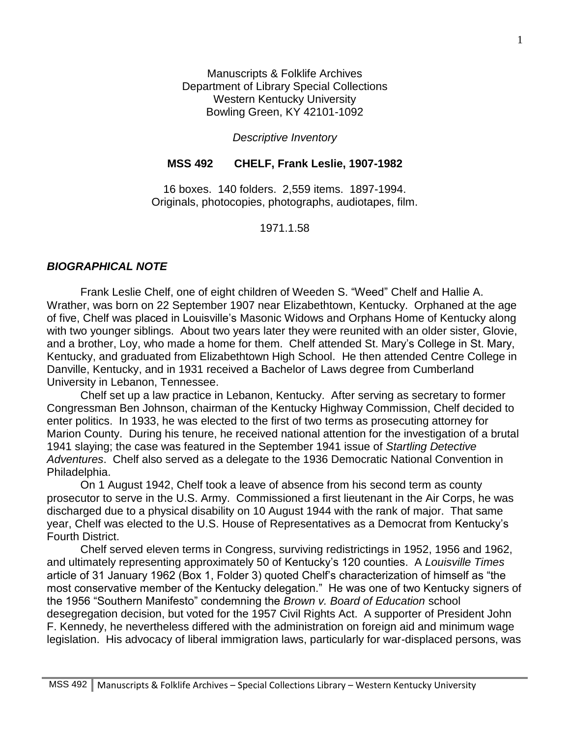Manuscripts & Folklife Archives Department of Library Special Collections Western Kentucky University Bowling Green, KY 42101-1092

#### *Descriptive Inventory*

#### **MSS 492 CHELF, Frank Leslie, 1907-1982**

16 boxes. 140 folders. 2,559 items. 1897-1994. Originals, photocopies, photographs, audiotapes, film.

#### 1971.1.58

#### *BIOGRAPHICAL NOTE*

Frank Leslie Chelf, one of eight children of Weeden S. "Weed" Chelf and Hallie A. Wrather, was born on 22 September 1907 near Elizabethtown, Kentucky. Orphaned at the age of five, Chelf was placed in Louisville's Masonic Widows and Orphans Home of Kentucky along with two younger siblings. About two years later they were reunited with an older sister, Glovie, and a brother, Loy, who made a home for them. Chelf attended St. Mary's College in St. Mary, Kentucky, and graduated from Elizabethtown High School. He then attended Centre College in Danville, Kentucky, and in 1931 received a Bachelor of Laws degree from Cumberland University in Lebanon, Tennessee.

Chelf set up a law practice in Lebanon, Kentucky. After serving as secretary to former Congressman Ben Johnson, chairman of the Kentucky Highway Commission, Chelf decided to enter politics. In 1933, he was elected to the first of two terms as prosecuting attorney for Marion County. During his tenure, he received national attention for the investigation of a brutal 1941 slaying; the case was featured in the September 1941 issue of *Startling Detective Adventures*. Chelf also served as a delegate to the 1936 Democratic National Convention in Philadelphia.

On 1 August 1942, Chelf took a leave of absence from his second term as county prosecutor to serve in the U.S. Army. Commissioned a first lieutenant in the Air Corps, he was discharged due to a physical disability on 10 August 1944 with the rank of major. That same year, Chelf was elected to the U.S. House of Representatives as a Democrat from Kentucky's Fourth District.

Chelf served eleven terms in Congress, surviving redistrictings in 1952, 1956 and 1962, and ultimately representing approximately 50 of Kentucky's 120 counties. A *Louisville Times* article of 31 January 1962 (Box 1, Folder 3) quoted Chelf's characterization of himself as "the most conservative member of the Kentucky delegation." He was one of two Kentucky signers of the 1956 "Southern Manifesto" condemning the *Brown v. Board of Education* school desegregation decision, but voted for the 1957 Civil Rights Act. A supporter of President John F. Kennedy, he nevertheless differed with the administration on foreign aid and minimum wage legislation. His advocacy of liberal immigration laws, particularly for war-displaced persons, was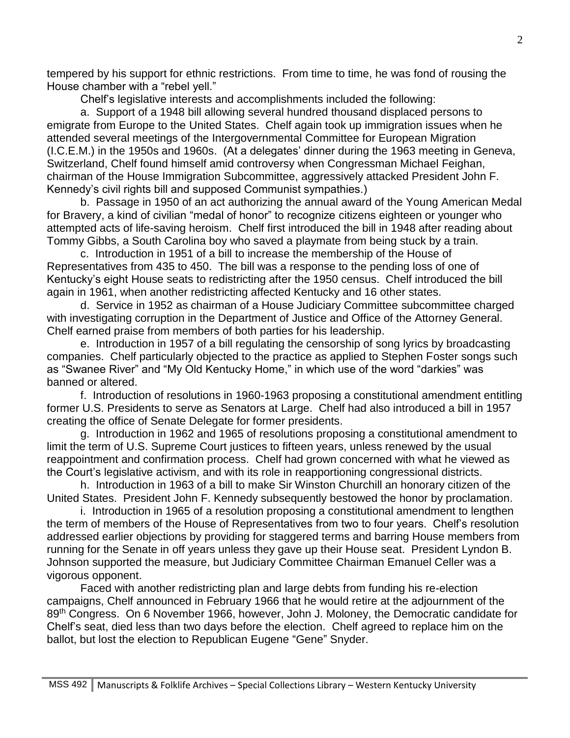tempered by his support for ethnic restrictions. From time to time, he was fond of rousing the House chamber with a "rebel yell."

Chelf's legislative interests and accomplishments included the following:

a. Support of a 1948 bill allowing several hundred thousand displaced persons to emigrate from Europe to the United States. Chelf again took up immigration issues when he attended several meetings of the Intergovernmental Committee for European Migration (I.C.E.M.) in the 1950s and 1960s. (At a delegates' dinner during the 1963 meeting in Geneva, Switzerland, Chelf found himself amid controversy when Congressman Michael Feighan, chairman of the House Immigration Subcommittee, aggressively attacked President John F. Kennedy's civil rights bill and supposed Communist sympathies.)

b. Passage in 1950 of an act authorizing the annual award of the Young American Medal for Bravery, a kind of civilian "medal of honor" to recognize citizens eighteen or younger who attempted acts of life-saving heroism. Chelf first introduced the bill in 1948 after reading about Tommy Gibbs, a South Carolina boy who saved a playmate from being stuck by a train.

c. Introduction in 1951 of a bill to increase the membership of the House of Representatives from 435 to 450. The bill was a response to the pending loss of one of Kentucky's eight House seats to redistricting after the 1950 census. Chelf introduced the bill again in 1961, when another redistricting affected Kentucky and 16 other states.

d. Service in 1952 as chairman of a House Judiciary Committee subcommittee charged with investigating corruption in the Department of Justice and Office of the Attorney General. Chelf earned praise from members of both parties for his leadership.

e. Introduction in 1957 of a bill regulating the censorship of song lyrics by broadcasting companies. Chelf particularly objected to the practice as applied to Stephen Foster songs such as "Swanee River" and "My Old Kentucky Home," in which use of the word "darkies" was banned or altered.

f. Introduction of resolutions in 1960-1963 proposing a constitutional amendment entitling former U.S. Presidents to serve as Senators at Large. Chelf had also introduced a bill in 1957 creating the office of Senate Delegate for former presidents.

g. Introduction in 1962 and 1965 of resolutions proposing a constitutional amendment to limit the term of U.S. Supreme Court justices to fifteen years, unless renewed by the usual reappointment and confirmation process. Chelf had grown concerned with what he viewed as the Court's legislative activism, and with its role in reapportioning congressional districts.

h. Introduction in 1963 of a bill to make Sir Winston Churchill an honorary citizen of the United States. President John F. Kennedy subsequently bestowed the honor by proclamation.

i. Introduction in 1965 of a resolution proposing a constitutional amendment to lengthen the term of members of the House of Representatives from two to four years. Chelf's resolution addressed earlier objections by providing for staggered terms and barring House members from running for the Senate in off years unless they gave up their House seat. President Lyndon B. Johnson supported the measure, but Judiciary Committee Chairman Emanuel Celler was a vigorous opponent.

Faced with another redistricting plan and large debts from funding his re-election campaigns, Chelf announced in February 1966 that he would retire at the adjournment of the 89<sup>th</sup> Congress. On 6 November 1966, however, John J. Moloney, the Democratic candidate for Chelf's seat, died less than two days before the election. Chelf agreed to replace him on the ballot, but lost the election to Republican Eugene "Gene" Snyder.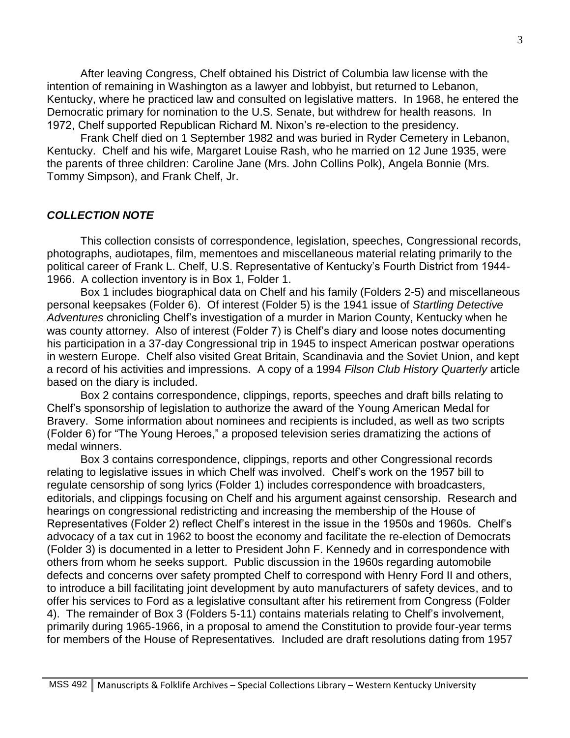After leaving Congress, Chelf obtained his District of Columbia law license with the intention of remaining in Washington as a lawyer and lobbyist, but returned to Lebanon, Kentucky, where he practiced law and consulted on legislative matters. In 1968, he entered the Democratic primary for nomination to the U.S. Senate, but withdrew for health reasons. In 1972, Chelf supported Republican Richard M. Nixon's re-election to the presidency.

Frank Chelf died on 1 September 1982 and was buried in Ryder Cemetery in Lebanon, Kentucky. Chelf and his wife, Margaret Louise Rash, who he married on 12 June 1935, were the parents of three children: Caroline Jane (Mrs. John Collins Polk), Angela Bonnie (Mrs. Tommy Simpson), and Frank Chelf, Jr.

#### *COLLECTION NOTE*

This collection consists of correspondence, legislation, speeches, Congressional records, photographs, audiotapes, film, mementoes and miscellaneous material relating primarily to the political career of Frank L. Chelf, U.S. Representative of Kentucky's Fourth District from 1944- 1966. A collection inventory is in Box 1, Folder 1.

Box 1 includes biographical data on Chelf and his family (Folders 2-5) and miscellaneous personal keepsakes (Folder 6). Of interest (Folder 5) is the 1941 issue of *Startling Detective Adventures* chronicling Chelf's investigation of a murder in Marion County, Kentucky when he was county attorney. Also of interest (Folder 7) is Chelf's diary and loose notes documenting his participation in a 37-day Congressional trip in 1945 to inspect American postwar operations in western Europe. Chelf also visited Great Britain, Scandinavia and the Soviet Union, and kept a record of his activities and impressions. A copy of a 1994 *Filson Club History Quarterly* article based on the diary is included.

Box 2 contains correspondence, clippings, reports, speeches and draft bills relating to Chelf's sponsorship of legislation to authorize the award of the Young American Medal for Bravery. Some information about nominees and recipients is included, as well as two scripts (Folder 6) for "The Young Heroes," a proposed television series dramatizing the actions of medal winners.

Box 3 contains correspondence, clippings, reports and other Congressional records relating to legislative issues in which Chelf was involved. Chelf's work on the 1957 bill to regulate censorship of song lyrics (Folder 1) includes correspondence with broadcasters, editorials, and clippings focusing on Chelf and his argument against censorship. Research and hearings on congressional redistricting and increasing the membership of the House of Representatives (Folder 2) reflect Chelf's interest in the issue in the 1950s and 1960s. Chelf's advocacy of a tax cut in 1962 to boost the economy and facilitate the re-election of Democrats (Folder 3) is documented in a letter to President John F. Kennedy and in correspondence with others from whom he seeks support. Public discussion in the 1960s regarding automobile defects and concerns over safety prompted Chelf to correspond with Henry Ford II and others, to introduce a bill facilitating joint development by auto manufacturers of safety devices, and to offer his services to Ford as a legislative consultant after his retirement from Congress (Folder 4). The remainder of Box 3 (Folders 5-11) contains materials relating to Chelf's involvement, primarily during 1965-1966, in a proposal to amend the Constitution to provide four-year terms for members of the House of Representatives. Included are draft resolutions dating from 1957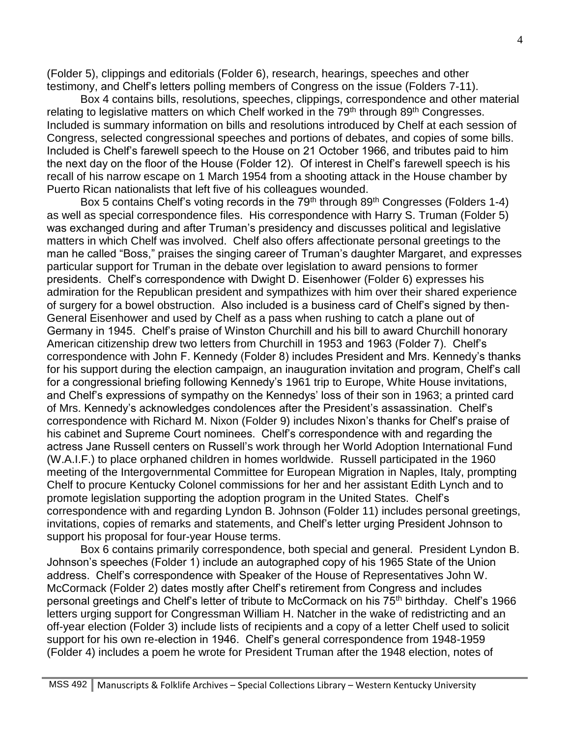(Folder 5), clippings and editorials (Folder 6), research, hearings, speeches and other testimony, and Chelf's letters polling members of Congress on the issue (Folders 7-11).

Box 4 contains bills, resolutions, speeches, clippings, correspondence and other material relating to legislative matters on which Chelf worked in the 79<sup>th</sup> through 89<sup>th</sup> Congresses. Included is summary information on bills and resolutions introduced by Chelf at each session of Congress, selected congressional speeches and portions of debates, and copies of some bills. Included is Chelf's farewell speech to the House on 21 October 1966, and tributes paid to him the next day on the floor of the House (Folder 12). Of interest in Chelf's farewell speech is his recall of his narrow escape on 1 March 1954 from a shooting attack in the House chamber by Puerto Rican nationalists that left five of his colleagues wounded.

Box 5 contains Chelf's voting records in the  $79<sup>th</sup>$  through  $89<sup>th</sup>$  Congresses (Folders 1-4) as well as special correspondence files. His correspondence with Harry S. Truman (Folder 5) was exchanged during and after Truman's presidency and discusses political and legislative matters in which Chelf was involved. Chelf also offers affectionate personal greetings to the man he called "Boss," praises the singing career of Truman's daughter Margaret, and expresses particular support for Truman in the debate over legislation to award pensions to former presidents. Chelf's correspondence with Dwight D. Eisenhower (Folder 6) expresses his admiration for the Republican president and sympathizes with him over their shared experience of surgery for a bowel obstruction. Also included is a business card of Chelf's signed by then-General Eisenhower and used by Chelf as a pass when rushing to catch a plane out of Germany in 1945. Chelf's praise of Winston Churchill and his bill to award Churchill honorary American citizenship drew two letters from Churchill in 1953 and 1963 (Folder 7). Chelf's correspondence with John F. Kennedy (Folder 8) includes President and Mrs. Kennedy's thanks for his support during the election campaign, an inauguration invitation and program, Chelf's call for a congressional briefing following Kennedy's 1961 trip to Europe, White House invitations, and Chelf's expressions of sympathy on the Kennedys' loss of their son in 1963; a printed card of Mrs. Kennedy's acknowledges condolences after the President's assassination. Chelf's correspondence with Richard M. Nixon (Folder 9) includes Nixon's thanks for Chelf's praise of his cabinet and Supreme Court nominees. Chelf's correspondence with and regarding the actress Jane Russell centers on Russell's work through her World Adoption International Fund (W.A.I.F.) to place orphaned children in homes worldwide. Russell participated in the 1960 meeting of the Intergovernmental Committee for European Migration in Naples, Italy, prompting Chelf to procure Kentucky Colonel commissions for her and her assistant Edith Lynch and to promote legislation supporting the adoption program in the United States. Chelf's correspondence with and regarding Lyndon B. Johnson (Folder 11) includes personal greetings, invitations, copies of remarks and statements, and Chelf's letter urging President Johnson to support his proposal for four-year House terms.

Box 6 contains primarily correspondence, both special and general. President Lyndon B. Johnson's speeches (Folder 1) include an autographed copy of his 1965 State of the Union address. Chelf's correspondence with Speaker of the House of Representatives John W. McCormack (Folder 2) dates mostly after Chelf's retirement from Congress and includes personal greetings and Chelf's letter of tribute to McCormack on his 75<sup>th</sup> birthday. Chelf's 1966 letters urging support for Congressman William H. Natcher in the wake of redistricting and an off-year election (Folder 3) include lists of recipients and a copy of a letter Chelf used to solicit support for his own re-election in 1946. Chelf's general correspondence from 1948-1959 (Folder 4) includes a poem he wrote for President Truman after the 1948 election, notes of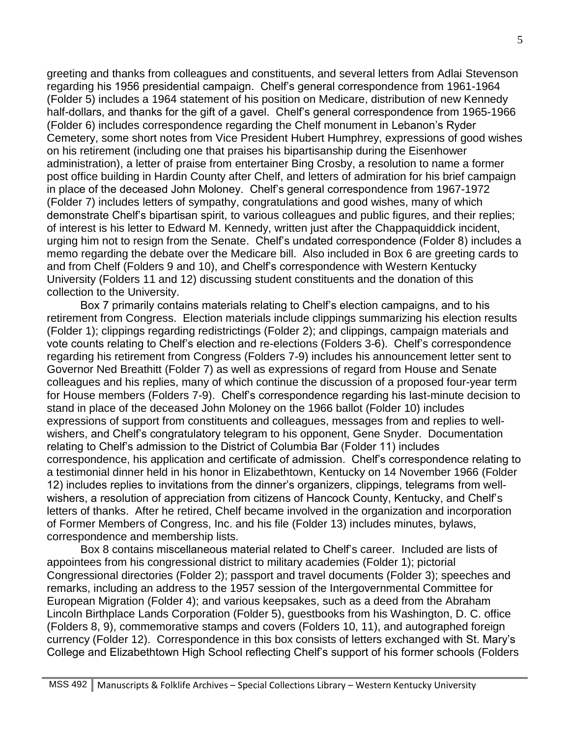greeting and thanks from colleagues and constituents, and several letters from Adlai Stevenson regarding his 1956 presidential campaign. Chelf's general correspondence from 1961-1964 (Folder 5) includes a 1964 statement of his position on Medicare, distribution of new Kennedy half-dollars, and thanks for the gift of a gavel. Chelf's general correspondence from 1965-1966 (Folder 6) includes correspondence regarding the Chelf monument in Lebanon's Ryder Cemetery, some short notes from Vice President Hubert Humphrey, expressions of good wishes on his retirement (including one that praises his bipartisanship during the Eisenhower administration), a letter of praise from entertainer Bing Crosby, a resolution to name a former post office building in Hardin County after Chelf, and letters of admiration for his brief campaign in place of the deceased John Moloney. Chelf's general correspondence from 1967-1972 (Folder 7) includes letters of sympathy, congratulations and good wishes, many of which demonstrate Chelf's bipartisan spirit, to various colleagues and public figures, and their replies; of interest is his letter to Edward M. Kennedy, written just after the Chappaquiddick incident, urging him not to resign from the Senate. Chelf's undated correspondence (Folder 8) includes a memo regarding the debate over the Medicare bill. Also included in Box 6 are greeting cards to and from Chelf (Folders 9 and 10), and Chelf's correspondence with Western Kentucky University (Folders 11 and 12) discussing student constituents and the donation of this collection to the University.

Box 7 primarily contains materials relating to Chelf's election campaigns, and to his retirement from Congress. Election materials include clippings summarizing his election results (Folder 1); clippings regarding redistrictings (Folder 2); and clippings, campaign materials and vote counts relating to Chelf's election and re-elections (Folders 3-6). Chelf's correspondence regarding his retirement from Congress (Folders 7-9) includes his announcement letter sent to Governor Ned Breathitt (Folder 7) as well as expressions of regard from House and Senate colleagues and his replies, many of which continue the discussion of a proposed four-year term for House members (Folders 7-9). Chelf's correspondence regarding his last-minute decision to stand in place of the deceased John Moloney on the 1966 ballot (Folder 10) includes expressions of support from constituents and colleagues, messages from and replies to wellwishers, and Chelf's congratulatory telegram to his opponent, Gene Snyder. Documentation relating to Chelf's admission to the District of Columbia Bar (Folder 11) includes correspondence, his application and certificate of admission. Chelf's correspondence relating to a testimonial dinner held in his honor in Elizabethtown, Kentucky on 14 November 1966 (Folder 12) includes replies to invitations from the dinner's organizers, clippings, telegrams from wellwishers, a resolution of appreciation from citizens of Hancock County, Kentucky, and Chelf's letters of thanks. After he retired, Chelf became involved in the organization and incorporation of Former Members of Congress, Inc. and his file (Folder 13) includes minutes, bylaws, correspondence and membership lists.

Box 8 contains miscellaneous material related to Chelf's career. Included are lists of appointees from his congressional district to military academies (Folder 1); pictorial Congressional directories (Folder 2); passport and travel documents (Folder 3); speeches and remarks, including an address to the 1957 session of the Intergovernmental Committee for European Migration (Folder 4); and various keepsakes, such as a deed from the Abraham Lincoln Birthplace Lands Corporation (Folder 5), guestbooks from his Washington, D. C. office (Folders 8, 9), commemorative stamps and covers (Folders 10, 11), and autographed foreign currency (Folder 12). Correspondence in this box consists of letters exchanged with St. Mary's College and Elizabethtown High School reflecting Chelf's support of his former schools (Folders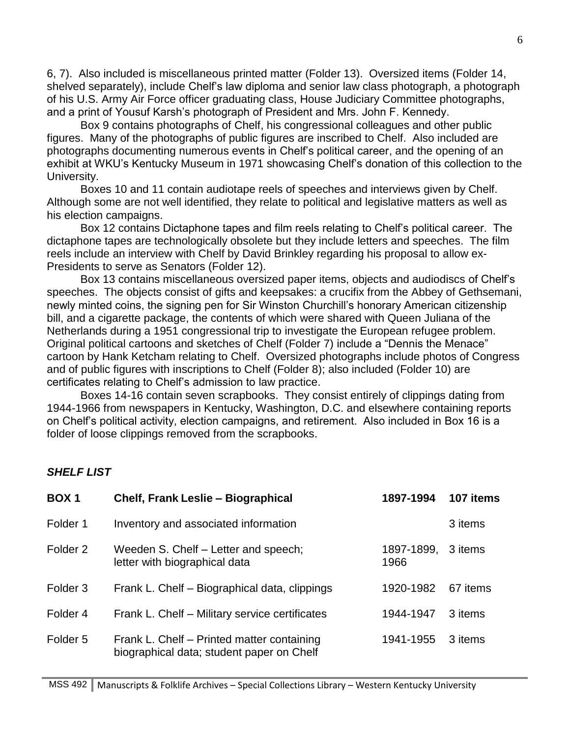6, 7). Also included is miscellaneous printed matter (Folder 13). Oversized items (Folder 14, shelved separately), include Chelf's law diploma and senior law class photograph, a photograph of his U.S. Army Air Force officer graduating class, House Judiciary Committee photographs, and a print of Yousuf Karsh's photograph of President and Mrs. John F. Kennedy.

Box 9 contains photographs of Chelf, his congressional colleagues and other public figures. Many of the photographs of public figures are inscribed to Chelf. Also included are photographs documenting numerous events in Chelf's political career, and the opening of an exhibit at WKU's Kentucky Museum in 1971 showcasing Chelf's donation of this collection to the University.

Boxes 10 and 11 contain audiotape reels of speeches and interviews given by Chelf. Although some are not well identified, they relate to political and legislative matters as well as his election campaigns.

Box 12 contains Dictaphone tapes and film reels relating to Chelf's political career. The dictaphone tapes are technologically obsolete but they include letters and speeches. The film reels include an interview with Chelf by David Brinkley regarding his proposal to allow ex-Presidents to serve as Senators (Folder 12).

Box 13 contains miscellaneous oversized paper items, objects and audiodiscs of Chelf's speeches. The objects consist of gifts and keepsakes: a crucifix from the Abbey of Gethsemani, newly minted coins, the signing pen for Sir Winston Churchill's honorary American citizenship bill, and a cigarette package, the contents of which were shared with Queen Juliana of the Netherlands during a 1951 congressional trip to investigate the European refugee problem. Original political cartoons and sketches of Chelf (Folder 7) include a "Dennis the Menace" cartoon by Hank Ketcham relating to Chelf. Oversized photographs include photos of Congress and of public figures with inscriptions to Chelf (Folder 8); also included (Folder 10) are certificates relating to Chelf's admission to law practice.

Boxes 14-16 contain seven scrapbooks. They consist entirely of clippings dating from 1944-1966 from newspapers in Kentucky, Washington, D.C. and elsewhere containing reports on Chelf's political activity, election campaigns, and retirement. Also included in Box 16 is a folder of loose clippings removed from the scrapbooks.

### *SHELF LIST*

| BOX <sub>1</sub>    | Chelf, Frank Leslie - Biographical                                                      | 1897-1994          | 107 items |
|---------------------|-----------------------------------------------------------------------------------------|--------------------|-----------|
| Folder 1            | Inventory and associated information                                                    |                    | 3 items   |
| Folder 2            | Weeden S. Chelf - Letter and speech;<br>letter with biographical data                   | 1897-1899,<br>1966 | 3 items   |
| Folder <sub>3</sub> | Frank L. Chelf - Biographical data, clippings                                           | 1920-1982          | 67 items  |
| Folder 4            | Frank L. Chelf – Military service certificates                                          | 1944-1947          | 3 items   |
| Folder <sub>5</sub> | Frank L. Chelf – Printed matter containing<br>biographical data; student paper on Chelf | 1941-1955          | 3 items   |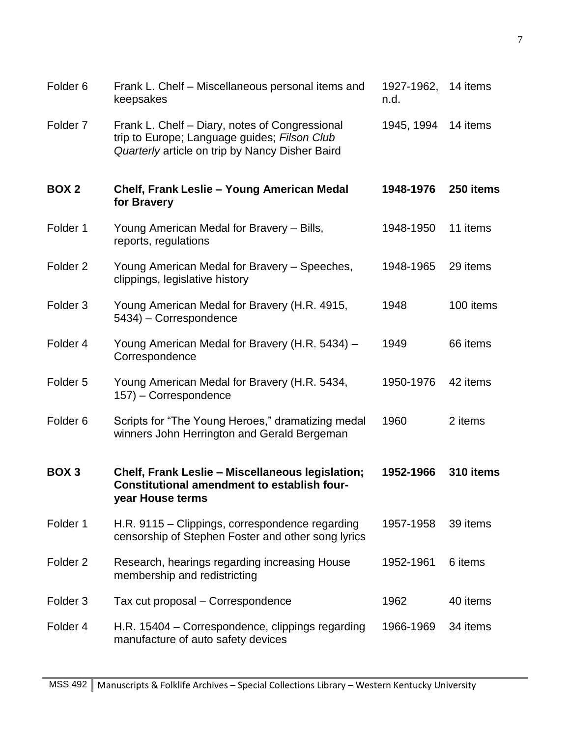| Folder <sub>6</sub> | Frank L. Chelf – Miscellaneous personal items and<br>keepsakes                                                                                    | 1927-1962,<br>n.d. | 14 items  |
|---------------------|---------------------------------------------------------------------------------------------------------------------------------------------------|--------------------|-----------|
| Folder <sub>7</sub> | Frank L. Chelf - Diary, notes of Congressional<br>trip to Europe; Language guides; Filson Club<br>Quarterly article on trip by Nancy Disher Baird | 1945, 1994         | 14 items  |
| BOX <sub>2</sub>    | Chelf, Frank Leslie - Young American Medal<br>for Bravery                                                                                         | 1948-1976          | 250 items |
| Folder 1            | Young American Medal for Bravery – Bills,<br>reports, regulations                                                                                 | 1948-1950          | 11 items  |
| Folder <sub>2</sub> | Young American Medal for Bravery - Speeches,<br>clippings, legislative history                                                                    | 1948-1965          | 29 items  |
| Folder <sub>3</sub> | Young American Medal for Bravery (H.R. 4915,<br>5434) – Correspondence                                                                            | 1948               | 100 items |
| Folder 4            | Young American Medal for Bravery (H.R. 5434) -<br>Correspondence                                                                                  | 1949               | 66 items  |
| Folder <sub>5</sub> | Young American Medal for Bravery (H.R. 5434,<br>157) – Correspondence                                                                             | 1950-1976          | 42 items  |
| Folder <sub>6</sub> | Scripts for "The Young Heroes," dramatizing medal<br>winners John Herrington and Gerald Bergeman                                                  | 1960               | 2 items   |
| BOX <sub>3</sub>    | Chelf, Frank Leslie - Miscellaneous legislation;<br><b>Constitutional amendment to establish four-</b><br>year House terms                        | 1952-1966          | 310 items |
| Folder 1            | H.R. 9115 – Clippings, correspondence regarding<br>censorship of Stephen Foster and other song lyrics                                             | 1957-1958          | 39 items  |
| Folder <sub>2</sub> | Research, hearings regarding increasing House<br>membership and redistricting                                                                     | 1952-1961          | 6 items   |
| Folder <sub>3</sub> | Tax cut proposal - Correspondence                                                                                                                 | 1962               | 40 items  |
| Folder 4            | H.R. 15404 – Correspondence, clippings regarding<br>manufacture of auto safety devices                                                            | 1966-1969          | 34 items  |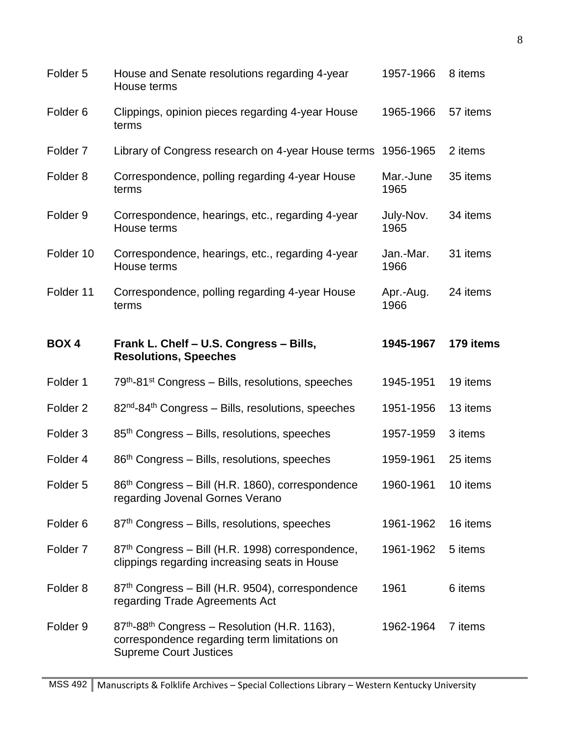| Folder <sub>5</sub> | House and Senate resolutions regarding 4-year<br>House terms                                                                                           | 1957-1966         | 8 items   |
|---------------------|--------------------------------------------------------------------------------------------------------------------------------------------------------|-------------------|-----------|
| Folder <sub>6</sub> | Clippings, opinion pieces regarding 4-year House<br>terms                                                                                              | 1965-1966         | 57 items  |
| Folder <sub>7</sub> | Library of Congress research on 4-year House terms                                                                                                     | 1956-1965         | 2 items   |
| Folder <sub>8</sub> | Correspondence, polling regarding 4-year House<br>terms                                                                                                | Mar.-June<br>1965 | 35 items  |
| Folder 9            | Correspondence, hearings, etc., regarding 4-year<br>House terms                                                                                        | July-Nov.<br>1965 | 34 items  |
| Folder 10           | Correspondence, hearings, etc., regarding 4-year<br>House terms                                                                                        | Jan.-Mar.<br>1966 | 31 items  |
| Folder 11           | Correspondence, polling regarding 4-year House<br>terms                                                                                                | Apr.-Aug.<br>1966 | 24 items  |
| <b>BOX4</b>         | Frank L. Chelf - U.S. Congress - Bills,<br><b>Resolutions, Speeches</b>                                                                                | 1945-1967         | 179 items |
| Folder 1            | 79 <sup>th</sup> -81 <sup>st</sup> Congress – Bills, resolutions, speeches                                                                             | 1945-1951         | 19 items  |
| Folder <sub>2</sub> | 82 <sup>nd</sup> -84 <sup>th</sup> Congress - Bills, resolutions, speeches                                                                             | 1951-1956         | 13 items  |
| Folder <sub>3</sub> | 85 <sup>th</sup> Congress – Bills, resolutions, speeches                                                                                               | 1957-1959         | 3 items   |
| Folder 4            | 86 <sup>th</sup> Congress – Bills, resolutions, speeches                                                                                               | 1959-1961         | 25 items  |
| Folder <sub>5</sub> | 86 <sup>th</sup> Congress - Bill (H.R. 1860), correspondence<br>regarding Jovenal Gornes Verano                                                        | 1960-1961         | 10 items  |
| Folder <sub>6</sub> | 87 <sup>th</sup> Congress – Bills, resolutions, speeches                                                                                               | 1961-1962         | 16 items  |
| Folder <sub>7</sub> | 87 <sup>th</sup> Congress – Bill (H.R. 1998) correspondence,<br>clippings regarding increasing seats in House                                          | 1961-1962         | 5 items   |
| Folder <sub>8</sub> | 87th Congress - Bill (H.R. 9504), correspondence<br>regarding Trade Agreements Act                                                                     | 1961              | 6 items   |
| Folder <sub>9</sub> | 87 <sup>th</sup> -88 <sup>th</sup> Congress - Resolution (H.R. 1163),<br>correspondence regarding term limitations on<br><b>Supreme Court Justices</b> | 1962-1964         | 7 items   |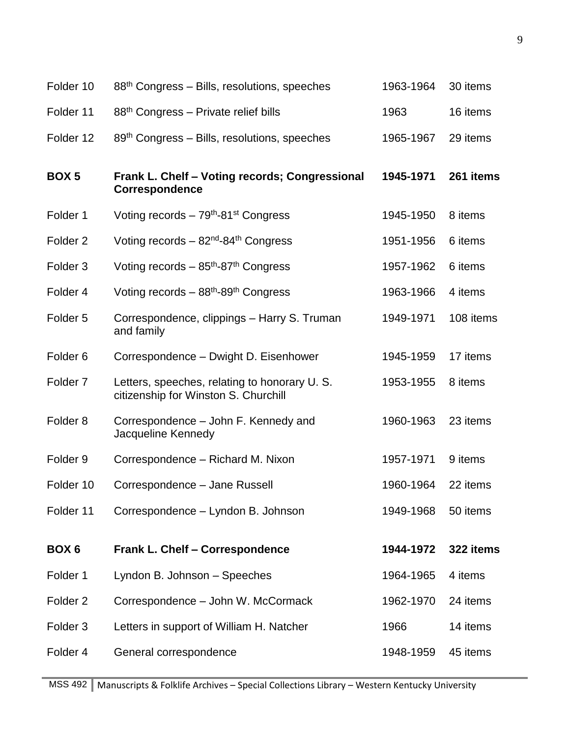| $88th$ Congress – Bills, resolutions, speeches                                       | 1963-1964 | 30 items  |
|--------------------------------------------------------------------------------------|-----------|-----------|
| 88 <sup>th</sup> Congress – Private relief bills                                     | 1963      | 16 items  |
| $89th Congress – Bills, resolutions, speeches$                                       | 1965-1967 | 29 items  |
| Frank L. Chelf - Voting records; Congressional<br><b>Correspondence</b>              | 1945-1971 | 261 items |
| Voting records $-79th$ -81 <sup>st</sup> Congress                                    | 1945-1950 | 8 items   |
| Voting records $-82^{\text{nd}}-84^{\text{th}}$ Congress                             | 1951-1956 | 6 items   |
| Voting records $-85$ <sup>th</sup> -87 <sup>th</sup> Congress                        | 1957-1962 | 6 items   |
| Voting records $-88$ <sup>th</sup> -89 <sup>th</sup> Congress                        | 1963-1966 | 4 items   |
| Correspondence, clippings - Harry S. Truman<br>and family                            | 1949-1971 | 108 items |
| Correspondence - Dwight D. Eisenhower                                                | 1945-1959 | 17 items  |
| Letters, speeches, relating to honorary U.S.<br>citizenship for Winston S. Churchill | 1953-1955 | 8 items   |
| Correspondence – John F. Kennedy and<br>Jacqueline Kennedy                           | 1960-1963 | 23 items  |
| Correspondence - Richard M. Nixon                                                    | 1957-1971 | 9 items   |
| Correspondence - Jane Russell                                                        | 1960-1964 | 22 items  |
| Correspondence - Lyndon B. Johnson                                                   | 1949-1968 | 50 items  |
| <b>Frank L. Chelf - Correspondence</b>                                               | 1944-1972 | 322 items |
| Lyndon B. Johnson - Speeches                                                         | 1964-1965 | 4 items   |
| Correspondence - John W. McCormack                                                   | 1962-1970 | 24 items  |
| Letters in support of William H. Natcher                                             | 1966      | 14 items  |
|                                                                                      |           |           |
|                                                                                      |           |           |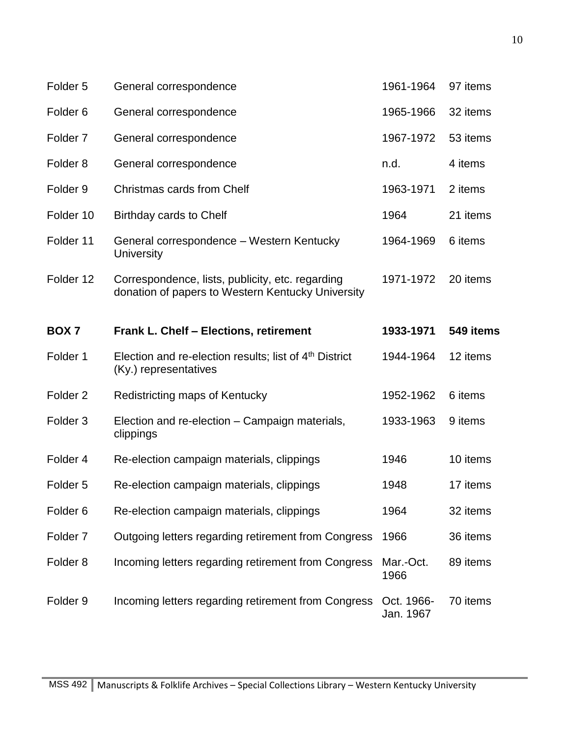| Folder <sub>5</sub> | General correspondence                                                                                | 1961-1964               | 97 items  |
|---------------------|-------------------------------------------------------------------------------------------------------|-------------------------|-----------|
| Folder <sub>6</sub> | General correspondence                                                                                | 1965-1966               | 32 items  |
| Folder <sub>7</sub> | General correspondence                                                                                | 1967-1972               | 53 items  |
| Folder <sub>8</sub> | General correspondence                                                                                | n.d.                    | 4 items   |
| Folder <sub>9</sub> | Christmas cards from Chelf                                                                            | 1963-1971               | 2 items   |
| Folder 10           | Birthday cards to Chelf                                                                               | 1964                    | 21 items  |
| Folder 11           | General correspondence - Western Kentucky<br>University                                               | 1964-1969               | 6 items   |
| Folder 12           | Correspondence, lists, publicity, etc. regarding<br>donation of papers to Western Kentucky University | 1971-1972               | 20 items  |
| BOX <sub>7</sub>    | Frank L. Chelf - Elections, retirement                                                                | 1933-1971               | 549 items |
| Folder 1            | Election and re-election results; list of 4 <sup>th</sup> District<br>(Ky.) representatives           | 1944-1964               | 12 items  |
| Folder <sub>2</sub> | Redistricting maps of Kentucky                                                                        | 1952-1962               | 6 items   |
| Folder <sub>3</sub> | Election and re-election – Campaign materials,<br>clippings                                           | 1933-1963               | 9 items   |
| Folder 4            | Re-election campaign materials, clippings                                                             | 1946                    | 10 items  |
| Folder <sub>5</sub> | Re-election campaign materials, clippings                                                             | 1948                    | 17 items  |
| Folder <sub>6</sub> | Re-election campaign materials, clippings                                                             | 1964                    | 32 items  |
| Folder <sub>7</sub> | Outgoing letters regarding retirement from Congress                                                   | 1966                    | 36 items  |
| Folder <sub>8</sub> | Incoming letters regarding retirement from Congress                                                   | Mar.-Oct.<br>1966       | 89 items  |
| Folder <sub>9</sub> | Incoming letters regarding retirement from Congress                                                   | Oct. 1966-<br>Jan. 1967 | 70 items  |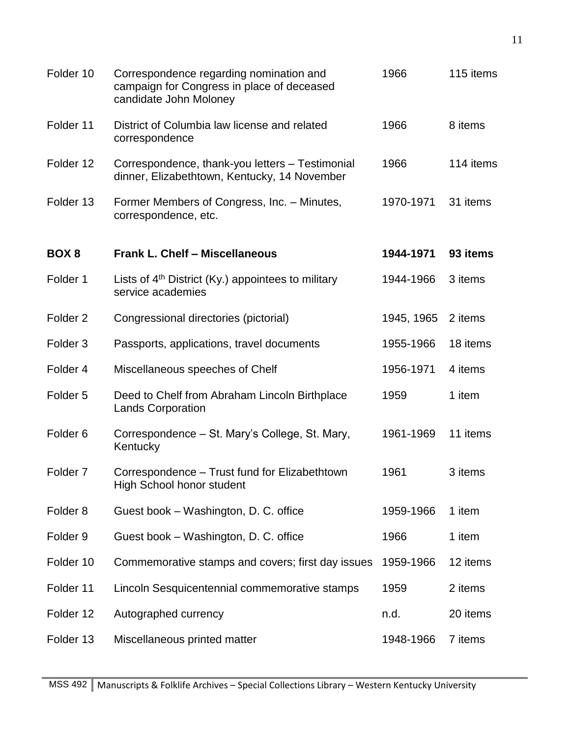| Folder 10           | Correspondence regarding nomination and<br>campaign for Congress in place of deceased<br>candidate John Moloney | 1966       | 115 items |
|---------------------|-----------------------------------------------------------------------------------------------------------------|------------|-----------|
| Folder 11           | District of Columbia law license and related<br>correspondence                                                  | 1966       | 8 items   |
| Folder 12           | Correspondence, thank-you letters - Testimonial<br>dinner, Elizabethtown, Kentucky, 14 November                 | 1966       | 114 items |
| Folder 13           | Former Members of Congress, Inc. - Minutes,<br>correspondence, etc.                                             | 1970-1971  | 31 items  |
| BOX 8               | <b>Frank L. Chelf - Miscellaneous</b>                                                                           | 1944-1971  | 93 items  |
| Folder 1            | Lists of $4th$ District (Ky.) appointees to military<br>service academies                                       | 1944-1966  | 3 items   |
| Folder <sub>2</sub> | Congressional directories (pictorial)                                                                           | 1945, 1965 | 2 items   |
| Folder <sub>3</sub> | Passports, applications, travel documents                                                                       | 1955-1966  | 18 items  |
| Folder 4            | Miscellaneous speeches of Chelf                                                                                 | 1956-1971  | 4 items   |
| Folder <sub>5</sub> | Deed to Chelf from Abraham Lincoln Birthplace<br><b>Lands Corporation</b>                                       | 1959       | 1 item    |
| Folder <sub>6</sub> | Correspondence - St. Mary's College, St. Mary,<br>Kentucky                                                      | 1961-1969  | 11 items  |
| Folder <sub>7</sub> | Correspondence - Trust fund for Elizabethtown<br><b>High School honor student</b>                               | 1961       | 3 items   |
| Folder <sub>8</sub> | Guest book - Washington, D. C. office                                                                           | 1959-1966  | 1 item    |
| Folder <sub>9</sub> | Guest book - Washington, D. C. office                                                                           | 1966       | 1 item    |
| Folder 10           | Commemorative stamps and covers; first day issues                                                               | 1959-1966  | 12 items  |
| Folder 11           | Lincoln Sesquicentennial commemorative stamps                                                                   | 1959       | 2 items   |
| Folder 12           | Autographed currency                                                                                            | n.d.       | 20 items  |
| Folder 13           | Miscellaneous printed matter                                                                                    | 1948-1966  | 7 items   |
|                     |                                                                                                                 |            |           |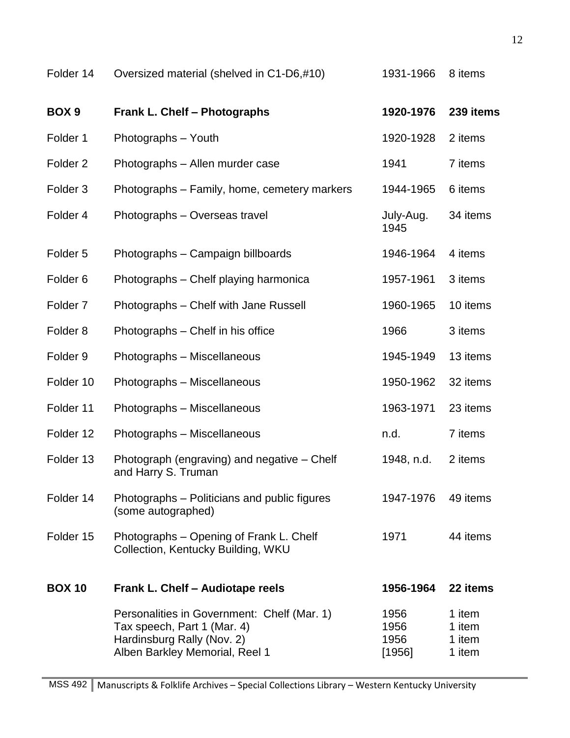| Folder 14           | Oversized material (shelved in C1-D6,#10)                                                                                                  | 1931-1966                      | 8 items                              |
|---------------------|--------------------------------------------------------------------------------------------------------------------------------------------|--------------------------------|--------------------------------------|
| BOX <sub>9</sub>    | <b>Frank L. Chelf - Photographs</b>                                                                                                        | 1920-1976                      | 239 items                            |
| Folder 1            | Photographs - Youth                                                                                                                        | 1920-1928                      | 2 items                              |
| Folder <sub>2</sub> | Photographs - Allen murder case                                                                                                            | 1941                           | 7 items                              |
| Folder <sub>3</sub> | Photographs – Family, home, cemetery markers                                                                                               | 1944-1965                      | 6 items                              |
| Folder 4            | Photographs - Overseas travel                                                                                                              | July-Aug.<br>1945              | 34 items                             |
| Folder <sub>5</sub> | Photographs - Campaign billboards                                                                                                          | 1946-1964                      | 4 items                              |
| Folder <sub>6</sub> | Photographs – Chelf playing harmonica                                                                                                      | 1957-1961                      | 3 items                              |
| Folder <sub>7</sub> | Photographs - Chelf with Jane Russell                                                                                                      | 1960-1965                      | 10 items                             |
| Folder <sub>8</sub> | Photographs - Chelf in his office                                                                                                          | 1966                           | 3 items                              |
| Folder <sub>9</sub> | Photographs - Miscellaneous                                                                                                                | 1945-1949                      | 13 items                             |
| Folder 10           | Photographs - Miscellaneous                                                                                                                | 1950-1962                      | 32 items                             |
| Folder 11           | Photographs - Miscellaneous                                                                                                                | 1963-1971                      | 23 items                             |
| Folder 12           | Photographs - Miscellaneous                                                                                                                | n.d.                           | 7 items                              |
| Folder 13           | Photograph (engraving) and negative - Chelf<br>and Harry S. Truman                                                                         | 1948, n.d.                     | 2 items                              |
| Folder 14           | Photographs – Politicians and public figures<br>(some autographed)                                                                         | 1947-1976                      | 49 items                             |
| Folder 15           | Photographs - Opening of Frank L. Chelf<br>Collection, Kentucky Building, WKU                                                              | 1971                           | 44 items                             |
| <b>BOX 10</b>       | Frank L. Chelf - Audiotape reels                                                                                                           | 1956-1964                      | 22 items                             |
|                     | Personalities in Government: Chelf (Mar. 1)<br>Tax speech, Part 1 (Mar. 4)<br>Hardinsburg Rally (Nov. 2)<br>Alben Barkley Memorial, Reel 1 | 1956<br>1956<br>1956<br>[1956] | 1 item<br>1 item<br>1 item<br>1 item |
|                     |                                                                                                                                            |                                |                                      |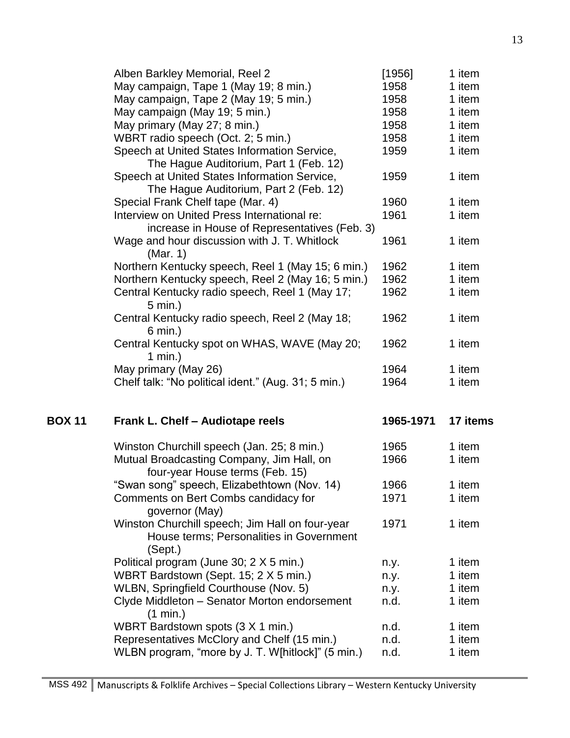|               | Alben Barkley Memorial, Reel 2                                       | [1956]    | 1 item   |
|---------------|----------------------------------------------------------------------|-----------|----------|
|               | May campaign, Tape 1 (May 19; 8 min.)                                | 1958      | 1 item   |
|               | May campaign, Tape 2 (May 19; 5 min.)                                | 1958      | 1 item   |
|               | May campaign (May 19; 5 min.)                                        | 1958      | 1 item   |
|               | May primary (May 27; 8 min.)                                         | 1958      | 1 item   |
|               | WBRT radio speech (Oct. 2; 5 min.)                                   | 1958      | 1 item   |
|               | Speech at United States Information Service,                         | 1959      | 1 item   |
|               | The Hague Auditorium, Part 1 (Feb. 12)                               |           |          |
|               | Speech at United States Information Service,                         | 1959      | 1 item   |
|               | The Hague Auditorium, Part 2 (Feb. 12)                               |           |          |
|               | Special Frank Chelf tape (Mar. 4)                                    | 1960      | 1 item   |
|               | Interview on United Press International re:                          | 1961      | 1 item   |
|               | increase in House of Representatives (Feb. 3)                        |           |          |
|               | Wage and hour discussion with J. T. Whitlock<br>(Mar. 1)             | 1961      | 1 item   |
|               | Northern Kentucky speech, Reel 1 (May 15; 6 min.)                    | 1962      | 1 item   |
|               | Northern Kentucky speech, Reel 2 (May 16; 5 min.)                    | 1962      | 1 item   |
|               | Central Kentucky radio speech, Reel 1 (May 17;                       | 1962      | 1 item   |
|               | $5 \text{ min.}$ )                                                   |           |          |
|               | Central Kentucky radio speech, Reel 2 (May 18;<br>$6 \text{ min.}$ ) | 1962      | 1 item   |
|               | Central Kentucky spot on WHAS, WAVE (May 20;<br>1 min.)              | 1962      | 1 item   |
|               | May primary (May 26)                                                 | 1964      | 1 item   |
|               | Chelf talk: "No political ident." (Aug. 31; 5 min.)                  | 1964      | 1 item   |
| <b>BOX 11</b> | Frank L. Chelf - Audiotape reels                                     | 1965-1971 | 17 items |
|               |                                                                      |           |          |
|               | Winston Churchill speech (Jan. 25; 8 min.)                           | 1965      | 1 item   |
|               | Mutual Broadcasting Company, Jim Hall, on                            | 1966      | 1 item   |
|               | four-year House terms (Feb. 15)                                      |           |          |
|               | "Swan song" speech, Elizabethtown (Nov. 14)                          | 1966      | 1 item   |
|               | Comments on Bert Combs candidacy for                                 | 1971      | 1 item   |
|               | governor (May)                                                       |           |          |
|               | Winston Churchill speech; Jim Hall on four-year                      | 1971      | 1 item   |
|               | House terms; Personalities in Government                             |           |          |
|               | (Sept.)                                                              |           |          |
|               | Political program (June 30; 2 X 5 min.)                              | n.y.      | 1 item   |
|               | WBRT Bardstown (Sept. 15; 2 X 5 min.)                                | n.y.      | 1 item   |
|               | WLBN, Springfield Courthouse (Nov. 5)                                | n.y.      | 1 item   |
|               | Clyde Middleton - Senator Morton endorsement<br>(1 min.)             | n.d.      | 1 item   |
|               | WBRT Bardstown spots (3 X 1 min.)                                    | n.d.      | 1 item   |
|               | Representatives McClory and Chelf (15 min.)                          | n.d.      | 1 item   |
|               | WLBN program, "more by J. T. W[hitlock]" (5 min.)                    | n.d.      | 1 item   |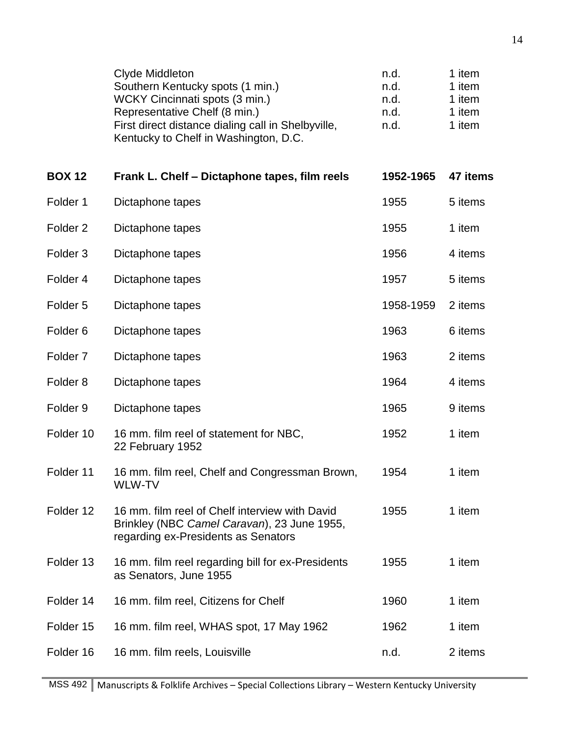|                     | Clyde Middleton<br>Southern Kentucky spots (1 min.)<br>WCKY Cincinnati spots (3 min.)<br>Representative Chelf (8 min.)<br>First direct distance dialing call in Shelbyville,<br>Kentucky to Chelf in Washington, D.C. | n.d.<br>n.d.<br>n.d.<br>n.d.<br>n.d. | 1 item<br>1 item<br>1 item<br>1 item<br>1 item |
|---------------------|-----------------------------------------------------------------------------------------------------------------------------------------------------------------------------------------------------------------------|--------------------------------------|------------------------------------------------|
| <b>BOX 12</b>       | Frank L. Chelf - Dictaphone tapes, film reels                                                                                                                                                                         | 1952-1965                            | 47 items                                       |
| Folder 1            | Dictaphone tapes                                                                                                                                                                                                      | 1955                                 | 5 items                                        |
| Folder <sub>2</sub> | Dictaphone tapes                                                                                                                                                                                                      | 1955                                 | 1 item                                         |
| Folder <sub>3</sub> | Dictaphone tapes                                                                                                                                                                                                      | 1956                                 | 4 items                                        |
| Folder 4            | Dictaphone tapes                                                                                                                                                                                                      | 1957                                 | 5 items                                        |
| Folder <sub>5</sub> | Dictaphone tapes                                                                                                                                                                                                      | 1958-1959                            | 2 items                                        |
| Folder <sub>6</sub> | Dictaphone tapes                                                                                                                                                                                                      | 1963                                 | 6 items                                        |
| Folder <sub>7</sub> | Dictaphone tapes                                                                                                                                                                                                      | 1963                                 | 2 items                                        |
| Folder <sub>8</sub> | Dictaphone tapes                                                                                                                                                                                                      | 1964                                 | 4 items                                        |
| Folder <sub>9</sub> | Dictaphone tapes                                                                                                                                                                                                      | 1965                                 | 9 items                                        |
| Folder 10           | 16 mm. film reel of statement for NBC,<br>22 February 1952                                                                                                                                                            | 1952                                 | 1 item                                         |
| Folder 11           | 16 mm. film reel, Chelf and Congressman Brown,<br>WLW-TV                                                                                                                                                              | 1954                                 | 1 item                                         |
| Folder 12           | 16 mm, film reel of Chelf interview with David<br>Brinkley (NBC Camel Caravan), 23 June 1955,<br>regarding ex-Presidents as Senators                                                                                  | 1955                                 | 1 item                                         |
| Folder 13           | 16 mm. film reel regarding bill for ex-Presidents<br>as Senators, June 1955                                                                                                                                           | 1955                                 | 1 item                                         |
| Folder 14           | 16 mm. film reel, Citizens for Chelf                                                                                                                                                                                  | 1960                                 | 1 item                                         |
| Folder 15           | 16 mm. film reel, WHAS spot, 17 May 1962                                                                                                                                                                              | 1962                                 | 1 item                                         |
| Folder 16           | 16 mm. film reels, Louisville                                                                                                                                                                                         | n.d.                                 | 2 items                                        |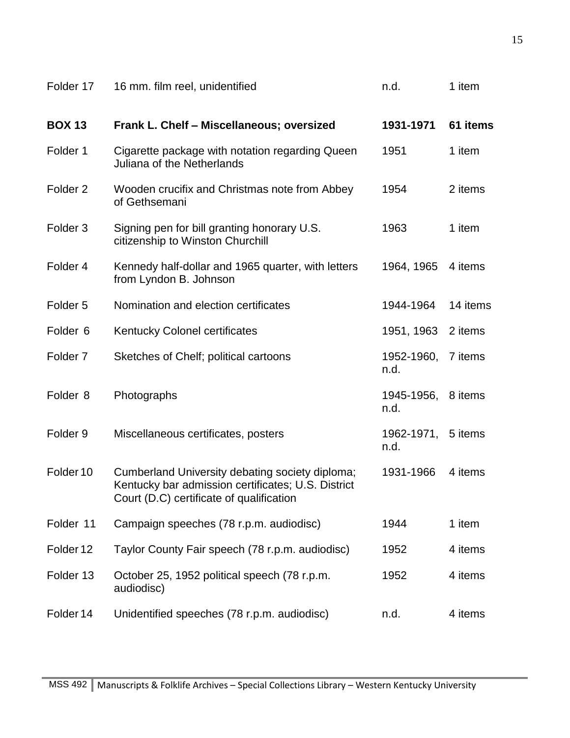| Folder 17           | 16 mm. film reel, unidentified                                                                                                                    | n.d.               | 1 item   |
|---------------------|---------------------------------------------------------------------------------------------------------------------------------------------------|--------------------|----------|
| <b>BOX 13</b>       | Frank L. Chelf - Miscellaneous; oversized                                                                                                         | 1931-1971          | 61 items |
| Folder 1            | Cigarette package with notation regarding Queen<br>Juliana of the Netherlands                                                                     | 1951               | 1 item   |
| Folder <sub>2</sub> | Wooden crucifix and Christmas note from Abbey<br>of Gethsemani                                                                                    | 1954               | 2 items  |
| Folder <sub>3</sub> | Signing pen for bill granting honorary U.S.<br>citizenship to Winston Churchill                                                                   | 1963               | 1 item   |
| Folder 4            | Kennedy half-dollar and 1965 quarter, with letters<br>from Lyndon B. Johnson                                                                      | 1964, 1965         | 4 items  |
| Folder <sub>5</sub> | Nomination and election certificates                                                                                                              | 1944-1964          | 14 items |
| Folder <sub>6</sub> | <b>Kentucky Colonel certificates</b>                                                                                                              | 1951, 1963         | 2 items  |
| Folder <sub>7</sub> | Sketches of Chelf; political cartoons                                                                                                             | 1952-1960,<br>n.d. | 7 items  |
| Folder <sub>8</sub> | Photographs                                                                                                                                       | 1945-1956,<br>n.d. | 8 items  |
| Folder <sub>9</sub> | Miscellaneous certificates, posters                                                                                                               | 1962-1971,<br>n.d. | 5 items  |
| Folder 10           | Cumberland University debating society diploma;<br>Kentucky bar admission certificates; U.S. District<br>Court (D.C) certificate of qualification | 1931-1966          | 4 items  |
| Folder 11           | Campaign speeches (78 r.p.m. audiodisc)                                                                                                           | 1944               | 1 item   |
| Folder 12           | Taylor County Fair speech (78 r.p.m. audiodisc)                                                                                                   | 1952               | 4 items  |
| Folder 13           | October 25, 1952 political speech (78 r.p.m.<br>audiodisc)                                                                                        | 1952               | 4 items  |
| Folder 14           | Unidentified speeches (78 r.p.m. audiodisc)                                                                                                       | n.d.               | 4 items  |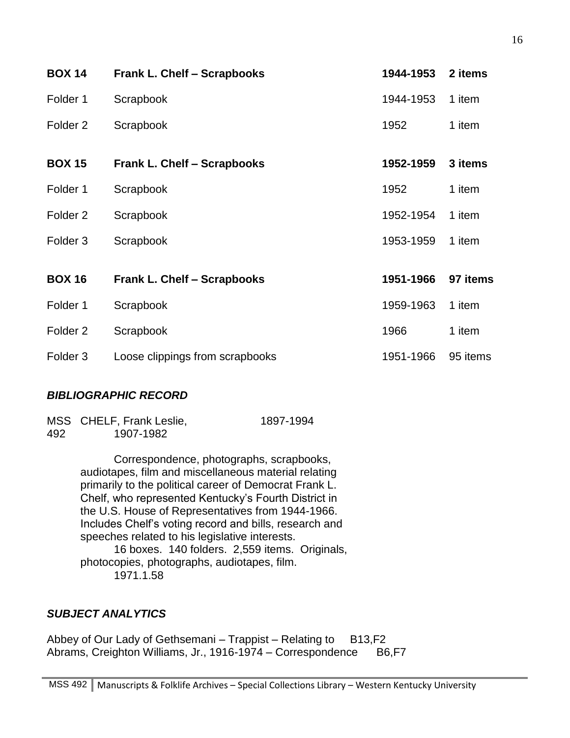| <b>BOX 14</b>       | <b>Frank L. Chelf - Scrapbooks</b> | 1944-1953 | 2 items  |
|---------------------|------------------------------------|-----------|----------|
| Folder 1            | Scrapbook                          | 1944-1953 | 1 item   |
| Folder <sub>2</sub> | Scrapbook                          | 1952      | 1 item   |
| <b>BOX 15</b>       | <b>Frank L. Chelf - Scrapbooks</b> | 1952-1959 | 3 items  |
| Folder 1            | Scrapbook                          | 1952      | 1 item   |
| Folder <sub>2</sub> | Scrapbook                          | 1952-1954 | 1 item   |
| Folder <sub>3</sub> | Scrapbook                          | 1953-1959 | 1 item   |
| <b>BOX 16</b>       | <b>Frank L. Chelf - Scrapbooks</b> | 1951-1966 | 97 items |
| Folder 1            | Scrapbook                          | 1959-1963 | 1 item   |
| Folder <sub>2</sub> | Scrapbook                          | 1966      | 1 item   |
| Folder <sub>3</sub> | Loose clippings from scrapbooks    | 1951-1966 | 95 items |

# *BIBLIOGRAPHIC RECORD*

|     | MSS CHELF, Frank Leslie, | 1897-1994 |
|-----|--------------------------|-----------|
| 492 | 1907-1982                |           |

Correspondence, photographs, scrapbooks, audiotapes, film and miscellaneous material relating primarily to the political career of Democrat Frank L. Chelf, who represented Kentucky's Fourth District in the U.S. House of Representatives from 1944-1966. Includes Chelf's voting record and bills, research and speeches related to his legislative interests. 16 boxes. 140 folders. 2,559 items. Originals,

photocopies, photographs, audiotapes, film. 1971.1.58

# *SUBJECT ANALYTICS*

Abbey of Our Lady of Gethsemani – Trappist – Relating to B13,F2 Abrams, Creighton Williams, Jr., 1916-1974 – Correspondence B6,F7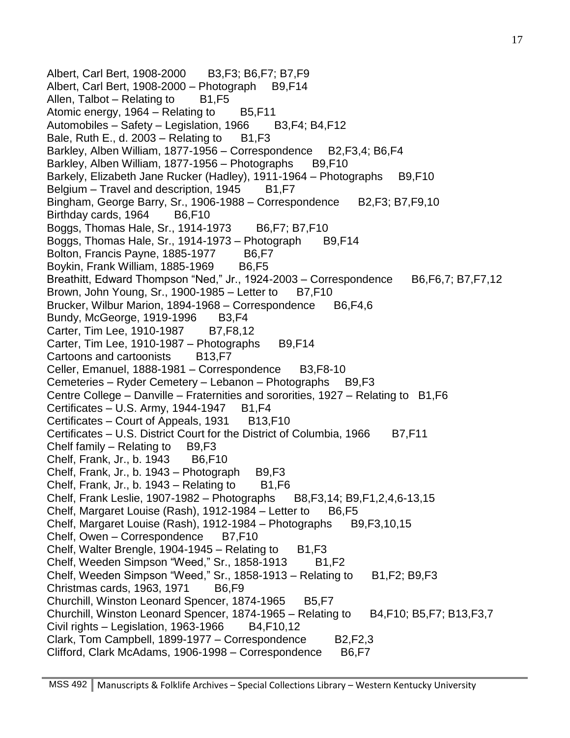Albert, Carl Bert, 1908-2000 B3,F3; B6,F7; B7,F9 Albert, Carl Bert, 1908-2000 – Photograph  $B9, F14$ Allen, Talbot – Relating to  $B1,F5$ Atomic energy,  $1964 - Relating to$  B5, F11 Automobiles – Safety – Legislation, 1966 B3, F4; B4, F12 Bale, Ruth E., d. 2003 – Relating to  $B1,F3$ Barkley, Alben William, 1877-1956 – Correspondence B2, F3, 4; B6, F4 Barkley, Alben William, 1877-1956 – Photographs B9,F10 Barkely, Elizabeth Jane Rucker (Hadley), 1911-1964 – Photographs B9, F10 Belgium – Travel and description,  $1945$  B1, F7 Bingham, George Barry, Sr., 1906-1988 – Correspondence B2, F3; B7, F9, 10 Birthday cards, 1964 B6,F10 Boggs, Thomas Hale, Sr., 1914-1973 B6, F7; B7, F10 Boggs, Thomas Hale, Sr., 1914-1973 – Photograph B9, F14 Bolton, Francis Payne, 1885-1977 B6,F7 Boykin, Frank William, 1885-1969 B6,F5 Breathitt, Edward Thompson "Ned," Jr., 1924-2003 – Correspondence  $B6, F6, 7; B7, F7, 12$ Brown, John Young, Sr., 1900-1985 – Letter to  $B7, F10$ Brucker, Wilbur Marion, 1894-1968 – Correspondence B6, F4, 6 Bundy, McGeorge, 1919-1996 B3, F4 Carter, Tim Lee, 1910-1987 B7, F8, 12 Carter, Tim Lee, 1910-1987 - Photographs B9,F14 Cartoons and cartoonists B13,F7 Celler, Emanuel, 1888-1981 – Correspondence B3, F8-10 Cemeteries – Ryder Cemetery – Lebanon – Photographs B9,F3 Centre College – Danville – Fraternities and sororities, 1927 – Relating to B1,F6 Certificates – U.S. Army, 1944-1947 B1,  $F4$ Certificates – Court of Appeals, 1931 B13,F10 Certificates – U.S. District Court for the District of Columbia, 1966 B7,F11 Chelf family - Relating to B9,F3 Chelf, Frank, Jr., b. 1943 B6,F10 Chelf, Frank, Jr., b. 1943 – Photograph  $B9, F3$ Chelf, Frank, Jr., b.  $1943 -$ Relating to B1, F6 Chelf, Frank Leslie, 1907-1982 – Photographs B8,F3,14; B9,F1,2,4,6-13,15 Chelf, Margaret Louise (Rash), 1912-1984 – Letter to B6,F5 Chelf, Margaret Louise (Rash), 1912-1984 – Photographs  $B9, F3, 10, 15$ Chelf, Owen – Correspondence B7, F10 Chelf, Walter Brengle, 1904-1945 – Relating to  $B1,F3$ Chelf, Weeden Simpson "Weed," Sr., 1858-1913 B1, F2 Chelf, Weeden Simpson "Weed," Sr., 1858-1913 – Relating to  $B1, F2$ ; B9,F3 Christmas cards, 1963, 1971 B6,F9 Churchill, Winston Leonard Spencer, 1874-1965 B5, F7 Churchill, Winston Leonard Spencer, 1874-1965 – Relating to  $B4,F10; B5,F7; B13,F3,7$ Civil rights – Legislation, 1963-1966  $B4, F10, 12$ Clark, Tom Campbell, 1899-1977 – Correspondence B2,F2,3 Clifford, Clark McAdams, 1906-1998 – Correspondence B6, F7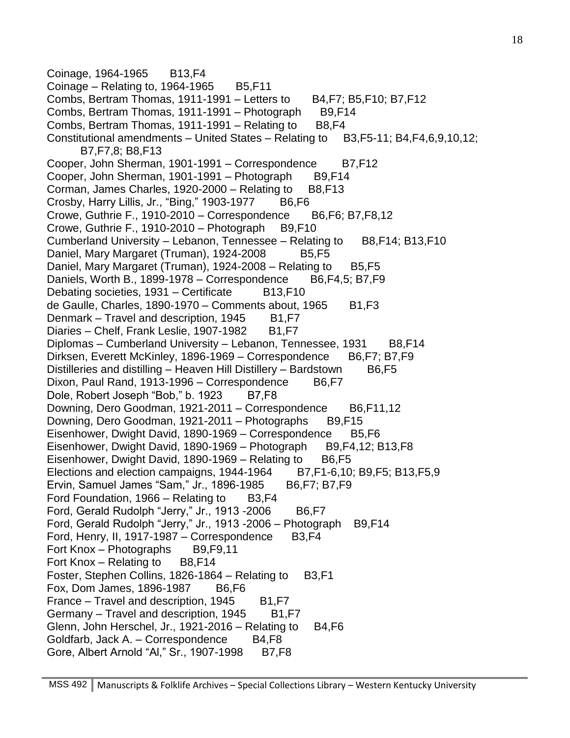Coinage, 1964-1965 B13, F4 Coinage – Relating to,  $1964-1965$  B5, F11 Combs, Bertram Thomas, 1911-1991 – Letters to  $B4,F7$ ; B5, F10; B7, F12 Combs, Bertram Thomas, 1911-1991 – Photograph B9,F14 Combs, Bertram Thomas, 1911-1991 – Relating to  $B8$ , F4 Constitutional amendments – United States – Relating to B3,F5-11; B4,F4,6,9,10,12; B7,F7,8; B8,F13 Cooper, John Sherman, 1901-1991 – Correspondence B7,F12 Cooper, John Sherman, 1901-1991 – Photograph B9, F14 Corman, James Charles, 1920-2000 – Relating to  $B8$ , F13 Crosby, Harry Lillis, Jr., "Bing," 1903-1977 B6,F6 Crowe, Guthrie F., 1910-2010 – Correspondence B6,F6; B7,F8,12 Crowe, Guthrie F., 1910-2010 – Photograph  $B9,F10$ Cumberland University – Lebanon, Tennessee – Relating to B8, F14; B13, F10 Daniel, Mary Margaret (Truman), 1924-2008 B5, F5 Daniel, Mary Margaret (Truman), 1924-2008 – Relating to  $B5,F5$ Daniels, Worth B., 1899-1978 – Correspondence B6, F4, 5; B7, F9 Debating societies, 1931 – Certificate B13,F10 de Gaulle, Charles, 1890-1970 – Comments about, 1965  $B1,F3$ Denmark – Travel and description, 1945 B1, F7 Diaries – Chelf, Frank Leslie, 1907-1982 B1, F7 Diplomas – Cumberland University – Lebanon, Tennessee, 1931 B8,F14 Dirksen, Everett McKinley, 1896-1969 – Correspondence B6,F7; B7,F9 Distilleries and distilling – Heaven Hill Distillery – Bardstown B6, F5 Dixon, Paul Rand, 1913-1996 – Correspondence B6, F7 Dole, Robert Joseph "Bob," b. 1923 B7, F8 Downing, Dero Goodman, 1921-2011 – Correspondence B6, F11, 12 Downing, Dero Goodman, 1921-2011 – Photographs B9, F15 Eisenhower, Dwight David, 1890-1969 – Correspondence B5, F6 Eisenhower, Dwight David, 1890-1969 – Photograph B9, F4, 12; B13, F8 Eisenhower, Dwight David, 1890-1969 – Relating to  $B6$ , F5 Elections and election campaigns, 1944-1964 B7, F1-6, 10; B9, F5; B13, F5, 9 Ervin, Samuel James "Sam," Jr., 1896-1985 B6, F7; B7, F9 Ford Foundation,  $1966 -$  Relating to B3, F4 Ford, Gerald Rudolph "Jerry," Jr., 1913 -2006 B6,F7 Ford, Gerald Rudolph "Jerry," Jr., 1913 -2006 - Photograph B9, F14 Ford, Henry, II, 1917-1987 – Correspondence B3, F4 Fort Knox – Photographs B9,F9,11 Fort Knox – Relating to  $B8$ , F14 Foster, Stephen Collins, 1826-1864 – Relating to B3,F1 Fox, Dom James, 1896-1987 B6,F6 France  $-$  Travel and description, 1945 B1, F7 Germany – Travel and description, 1945 B1, F7 Glenn, John Herschel, Jr., 1921-2016 – Relating to  $B4,F6$ Goldfarb, Jack A. – Correspondence B4,F8 Gore, Albert Arnold "AI," Sr., 1907-1998 B7, F8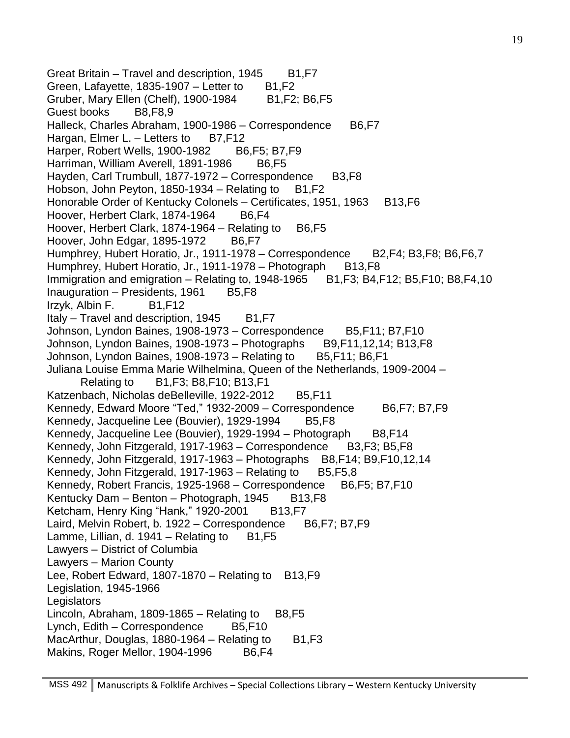Great Britain – Travel and description,  $1945$  B1, F7 Green, Lafayette, 1835-1907  $-$  Letter to B1, F2 Gruber, Mary Ellen (Chelf), 1900-1984 B1,F2; B6,F5 Guest books B8,F8,9 Halleck, Charles Abraham, 1900-1986 – Correspondence B6, F7 Hargan, Elmer L.  $-$  Letters to B7, F12 Harper, Robert Wells, 1900-1982 B6, F5; B7, F9 Harriman, William Averell, 1891-1986 B6,F5 Hayden, Carl Trumbull, 1877-1972 – Correspondence B3,F8 Hobson, John Peyton, 1850-1934 – Relating to  $B1, F2$ Honorable Order of Kentucky Colonels – Certificates, 1951, 1963 B13, F6 Hoover, Herbert Clark, 1874-1964 B6,F4 Hoover, Herbert Clark, 1874-1964 – Relating to  $B6$ , F5 Hoover, John Edgar, 1895-1972 B6,F7 Humphrey, Hubert Horatio, Jr., 1911-1978 – Correspondence B2, F4; B3, F8; B6, F6, 7 Humphrey, Hubert Horatio, Jr., 1911-1978 – Photograph B13, F8 Immigration and emigration – Relating to,  $1948-1965$  B1, F3; B4, F12; B5, F10; B8, F4, 10 Inauguration – Presidents, 1961  $\,$  B5,F8 Irzyk, Albin F. B1,F12 Italy – Travel and description,  $1945$  B1, F7 Johnson, Lyndon Baines, 1908-1973 – Correspondence B5, F11; B7, F10 Johnson, Lyndon Baines, 1908-1973 – Photographs B9, F11, 12, 14; B13, F8 Johnson, Lyndon Baines, 1908-1973 – Relating to  $B5, F11; B6, F1$ Juliana Louise Emma Marie Wilhelmina, Queen of the Netherlands, 1909-2004 – Relating to B1,F3; B8,F10; B13,F1 Katzenbach, Nicholas deBelleville, 1922-2012 B5,F11 Kennedy, Edward Moore "Ted," 1932-2009 – Correspondence B6, F7; B7, F9 Kennedy, Jacqueline Lee (Bouvier), 1929-1994 B5, F8 Kennedy, Jacqueline Lee (Bouvier), 1929-1994 – Photograph B8,F14 Kennedy, John Fitzgerald, 1917-1963 – Correspondence B3,F3; B5,F8 Kennedy, John Fitzgerald, 1917-1963 – Photographs B8,F14; B9,F10,12,14 Kennedy, John Fitzgerald, 1917-1963 – Relating to  $B5, F5, 8$ Kennedy, Robert Francis, 1925-1968 – Correspondence B6, F5; B7, F10 Kentucky Dam – Benton – Photograph, 1945 B13, F8 Ketcham, Henry King "Hank," 1920-2001 B13,F7 Laird, Melvin Robert, b. 1922 – Correspondence B6, F7; B7, F9 Lamme, Lillian, d. 1941 – Relating to  $B1, F5$ Lawyers – District of Columbia Lawyers – Marion County Lee, Robert Edward, 1807-1870 – Relating to  $B13,F9$ Legislation, 1945-1966 **Legislators** Lincoln, Abraham, 1809-1865 – Relating to  $B8,F5$ Lynch,  $Edit - Correspondence$  B5, F10 MacArthur, Douglas, 1880-1964 – Relating to  $B1,F3$ Makins, Roger Mellor, 1904-1996 B6,F4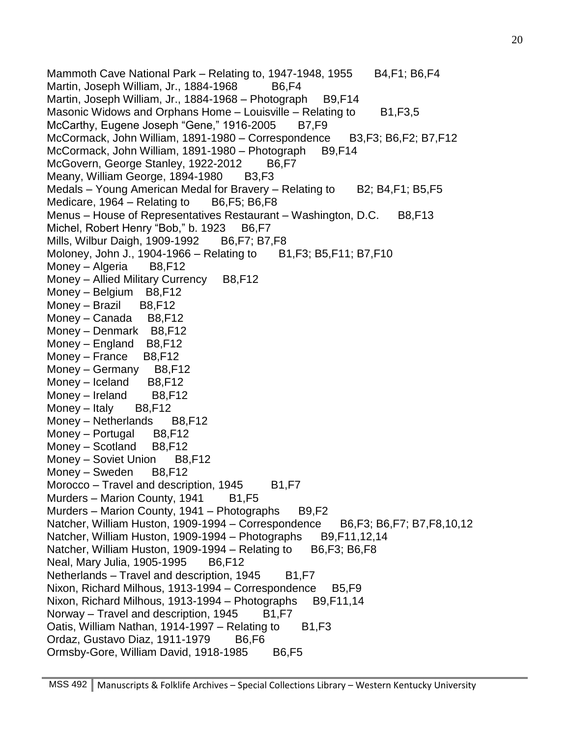Mammoth Cave National Park – Relating to, 1947-1948, 1955  $B4,F1;B6,F4$ Martin, Joseph William, Jr., 1884-1968 B6,F4 Martin, Joseph William, Jr., 1884-1968 – Photograph B9, F14 Masonic Widows and Orphans Home – Louisville – Relating to  $B1, F3, 5$ McCarthy, Eugene Joseph "Gene," 1916-2005 B7, F9 McCormack, John William, 1891-1980 – Correspondence B3,F3; B6,F2; B7,F12 McCormack, John William, 1891-1980 – Photograph B9, F14 McGovern, George Stanley, 1922-2012 B6,F7 Meany, William George, 1894-1980 B3,F3 Medals – Young American Medal for Bravery – Relating to B2; B4, F1; B5, F5 Medicare,  $1964 -$ Relating to B6, F5; B6, F8 Menus – House of Representatives Restaurant – Washington, D.C. B8, F13 Michel, Robert Henry "Bob," b. 1923 B6,F7 Mills, Wilbur Daigh, 1909-1992 B6, F7; B7, F8 Moloney, John J., 1904-1966 – Relating to B1, F3; B5, F11; B7, F10 Money – Algeria B8, F12 Money – Allied Military Currency B8, F12 Money – Belgium B8,F12 Money – Brazil B8,F12 Money – Canada B8, F12 Money – Denmark B8,F12 Money – England B8, F12 Money – France B8,F12 Money – Germany B8, F12 Money – Iceland  $B8$ , F12 Money – Ireland  $B8,F12$ Money – Italy  $BB, F12$ Money – Netherlands B8, F12 Money – Portugal B8, F12 Money – Scotland B8, F12 Money – Soviet Union B8, F12 Money – Sweden B8, F12 Morocco – Travel and description,  $1945$  B1, F7 Murders – Marion County, 1941  $B1,F5$ Murders – Marion County, 1941 – Photographs  $B9, F2$ Natcher, William Huston, 1909-1994 – Correspondence B6,F3; B6,F7; B7,F8,10,12 Natcher, William Huston, 1909-1994 – Photographs B9, F11, 12, 14 Natcher, William Huston, 1909-1994 – Relating to  $B6, F3$ ; B6, F8 Neal, Mary Julia, 1905-1995 B6, F12 Netherlands – Travel and description,  $1945$  B1, F7 Nixon, Richard Milhous, 1913-1994 – Correspondence B5, F9 Nixon, Richard Milhous, 1913-1994 – Photographs B9, F11, 14 Norway – Travel and description,  $1945$  B1, F7 Oatis, William Nathan, 1914-1997 – Relating to  $B1,F3$ Ordaz, Gustavo Diaz, 1911-1979 B6,F6 Ormsby-Gore, William David, 1918-1985 B6, F5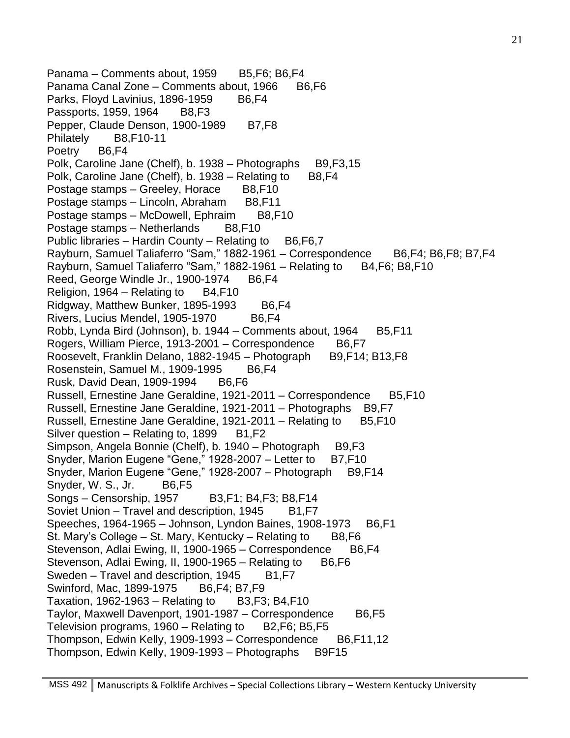Panama – Comments about, 1959 B5, F6; B6, F4 Panama Canal Zone – Comments about, 1966 B6,F6 Parks, Floyd Lavinius, 1896-1959 B6,F4 Passports, 1959, 1964 B8,F3 Pepper, Claude Denson, 1900-1989 B7, F8 Philately B8,F10-11 Poetry B6,F4 Polk, Caroline Jane (Chelf), b. 1938 – Photographs B9, F3, 15 Polk, Caroline Jane (Chelf), b. 1938 – Relating to B8, F4 Postage stamps – Greeley, Horace B8,F10 Postage stamps – Lincoln, Abraham B8, F11 Postage stamps – McDowell, Ephraim B8,F10 Postage stamps – Netherlands B8,F10 Public libraries – Hardin County – Relating to  $B6, F6, 7$ Rayburn, Samuel Taliaferro "Sam," 1882-1961 – Correspondence B6,F4; B6,F8; B7,F4 Rayburn, Samuel Taliaferro "Sam," 1882-1961 – Relating to B4, F6; B8, F10 Reed, George Windle Jr., 1900-1974 B6,F4 Religion,  $1964$  – Relating to B4, F10 Ridgway, Matthew Bunker, 1895-1993 B6,F4 Rivers, Lucius Mendel, 1905-1970 B6,F4 Robb, Lynda Bird (Johnson), b. 1944 – Comments about, 1964 B5, F11 Rogers, William Pierce, 1913-2001 – Correspondence B6, F7 Roosevelt, Franklin Delano, 1882-1945 – Photograph B9, F14; B13, F8 Rosenstein, Samuel M., 1909-1995 B6,F4 Rusk, David Dean, 1909-1994 B6, F6 Russell, Ernestine Jane Geraldine, 1921-2011 – Correspondence B5, F10 Russell, Ernestine Jane Geraldine, 1921-2011 - Photographs B9,F7 Russell, Ernestine Jane Geraldine, 1921-2011 – Relating to B5, F10 Silver question  $-$  Relating to, 1899 B1, F2 Simpson, Angela Bonnie (Chelf), b. 1940 – Photograph B9, F3 Snyder, Marion Eugene "Gene," 1928-2007 – Letter to B7, F10 Snyder, Marion Eugene "Gene," 1928-2007 - Photograph B9,F14 Snyder, W. S., Jr. B6,F5 Songs – Censorship, 1957 B3,F1; B4,F3; B8,F14 Soviet Union – Travel and description, 1945 B1, F7 Speeches, 1964-1965 – Johnson, Lyndon Baines, 1908-1973 B6, F1 St. Mary's College – St. Mary, Kentucky – Relating to  $B8,F6$ Stevenson, Adlai Ewing, II, 1900-1965 – Correspondence B6, F4 Stevenson, Adlai Ewing, II, 1900-1965 – Relating to B6,F6 Sweden – Travel and description, 1945 B1, F7 Swinford, Mac, 1899-1975 B6, F4; B7, F9 Taxation,  $1962-1963$  – Relating to B3, F3; B4, F10 Taylor, Maxwell Davenport, 1901-1987 – Correspondence B6,F5 Television programs,  $1960 -$ Relating to B2, F6; B5, F5 Thompson, Edwin Kelly, 1909-1993 – Correspondence B6, F11, 12 Thompson, Edwin Kelly, 1909-1993 – Photographs B9F15